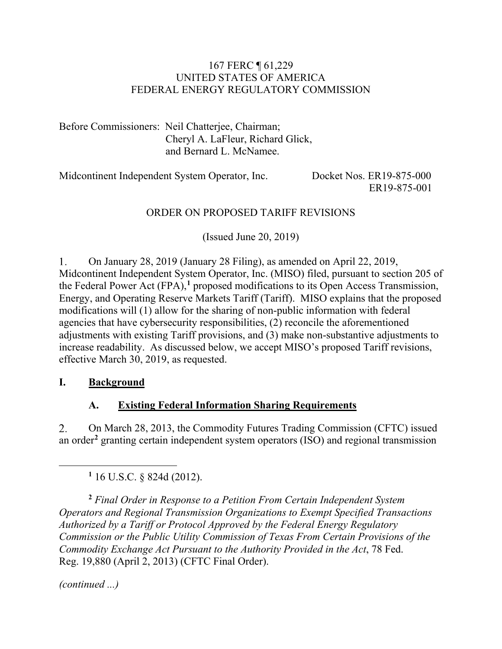#### 167 FERC ¶ 61,229 UNITED STATES OF AMERICA FEDERAL ENERGY REGULATORY COMMISSION

Before Commissioners: Neil Chatterjee, Chairman; Cheryl A. LaFleur, Richard Glick, and Bernard L. McNamee.

Midcontinent Independent System Operator, Inc. Docket Nos. ER19-875-000

ER19-875-001

### ORDER ON PROPOSED TARIFF REVISIONS

(Issued June 20, 2019)

On January 28, 2019 (January 28 Filing), as amended on April 22, 2019, 1. Midcontinent Independent System Operator, Inc. (MISO) filed, pursuant to section 205 of the Federal Power Act (FPA),**[1](#page-0-0)** proposed modifications to its Open Access Transmission, Energy, and Operating Reserve Markets Tariff (Tariff). MISO explains that the proposed modifications will (1) allow for the sharing of non-public information with federal agencies that have cybersecurity responsibilities, (2) reconcile the aforementioned adjustments with existing Tariff provisions, and (3) make non-substantive adjustments to increase readability. As discussed below, we accept MISO's proposed Tariff revisions, effective March 30, 2019, as requested.

### **I. Background**

### **A. Existing Federal Information Sharing Requirements**

 $2.$ On March 28, 2013, the Commodity Futures Trading Commission (CFTC) issued an order**[2](#page-0-1)** granting certain independent system operators (ISO) and regional transmission

**<sup>1</sup>** 16 U.S.C. § 824d (2012).

<span id="page-0-1"></span>**<sup>2</sup>** *Final Order in Response to a Petition From Certain Independent System Operators and Regional Transmission Organizations to Exempt Specified Transactions Authorized by a Tariff or Protocol Approved by the Federal Energy Regulatory Commission or the Public Utility Commission of Texas From Certain Provisions of the Commodity Exchange Act Pursuant to the Authority Provided in the Act*, 78 Fed. Reg. 19,880 (April 2, 2013) (CFTC Final Order).

*(continued ...)*

<span id="page-0-0"></span> $\overline{a}$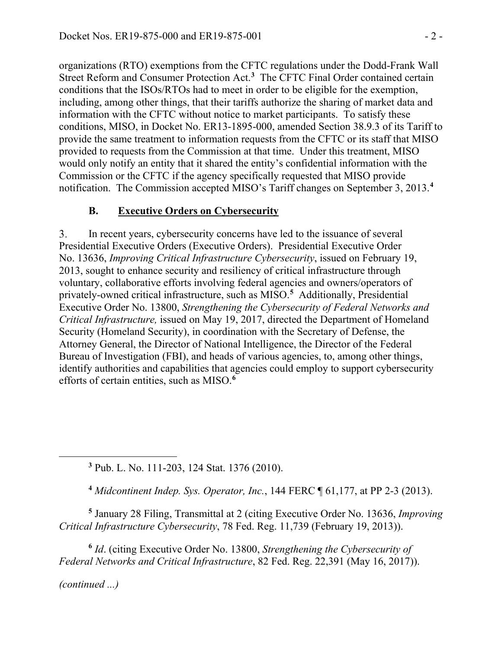organizations (RTO) exemptions from the CFTC regulations under the Dodd-Frank Wall Street Reform and Consumer Protection Act. **[3](#page-1-0)** The CFTC Final Order contained certain conditions that the ISOs/RTOs had to meet in order to be eligible for the exemption, including, among other things, that their tariffs authorize the sharing of market data and information with the CFTC without notice to market participants. To satisfy these conditions, MISO, in Docket No. ER13-1895-000, amended Section 38.9.3 of its Tariff to provide the same treatment to information requests from the CFTC or its staff that MISO provided to requests from the Commission at that time. Under this treatment, MISO would only notify an entity that it shared the entity's confidential information with the Commission or the CFTC if the agency specifically requested that MISO provide notification. The Commission accepted MISO's Tariff changes on September 3, 2013.**[4](#page-1-1)**

### **B. Executive Orders on Cybersecurity**

3. In recent years, cybersecurity concerns have led to the issuance of several Presidential Executive Orders (Executive Orders). Presidential Executive Order No. 13636, *Improving Critical Infrastructure Cybersecurity*, issued on February 19, 2013, sought to enhance security and resiliency of critical infrastructure through voluntary, collaborative efforts involving federal agencies and owners/operators of privately-owned critical infrastructure, such as MISO.**[5](#page-1-2)** Additionally, Presidential Executive Order No. 13800, *Strengthening the Cybersecurity of Federal Networks and Critical Infrastructure,* issued on May 19, 2017, directed the Department of Homeland Security (Homeland Security), in coordination with the Secretary of Defense, the Attorney General, the Director of National Intelligence, the Director of the Federal Bureau of Investigation (FBI), and heads of various agencies, to, among other things, identify authorities and capabilities that agencies could employ to support cybersecurity efforts of certain entities, such as MISO.**[6](#page-1-3)**

**<sup>3</sup>** Pub. L. No. 111-203, 124 Stat. 1376 (2010).

**<sup>4</sup>** *Midcontinent Indep. Sys. Operator, Inc.*, 144 FERC ¶ 61,177, at PP 2-3 (2013).

<span id="page-1-2"></span><span id="page-1-1"></span>**<sup>5</sup>** January 28 Filing, Transmittal at 2 (citing Executive Order No. 13636, *Improving Critical Infrastructure Cybersecurity*, 78 Fed. Reg. 11,739 (February 19, 2013)).

<span id="page-1-3"></span>**<sup>6</sup>** *Id*. (citing Executive Order No. 13800, *Strengthening the Cybersecurity of Federal Networks and Critical Infrastructure*, 82 Fed. Reg. 22,391 (May 16, 2017)).

*(continued ...)*

<span id="page-1-0"></span>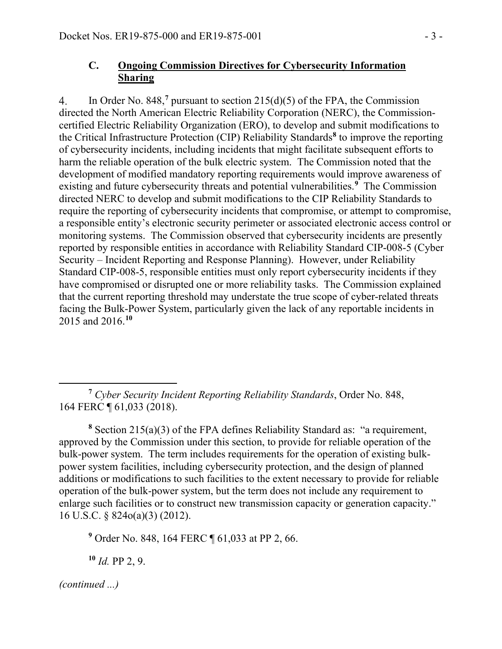### **C. Ongoing Commission Directives for Cybersecurity Information Sharing**

In Order No. 848,**[7](#page-2-0)** pursuant to section 215(d)(5) of the FPA, the Commission  $4.$ directed the North American Electric Reliability Corporation (NERC), the Commissioncertified Electric Reliability Organization (ERO), to develop and submit modifications to the Critical Infrastructure Protection (CIP) Reliability Standards**[8](#page-2-1)** to improve the reporting of cybersecurity incidents, including incidents that might facilitate subsequent efforts to harm the reliable operation of the bulk electric system. The Commission noted that the development of modified mandatory reporting requirements would improve awareness of existing and future cybersecurity threats and potential vulnerabilities.**[9](#page-2-2)** The Commission directed NERC to develop and submit modifications to the CIP Reliability Standards to require the reporting of cybersecurity incidents that compromise, or attempt to compromise, a responsible entity's electronic security perimeter or associated electronic access control or monitoring systems. The Commission observed that cybersecurity incidents are presently reported by responsible entities in accordance with Reliability Standard CIP-008-5 (Cyber Security – Incident Reporting and Response Planning). However, under Reliability Standard CIP-008-5, responsible entities must only report cybersecurity incidents if they have compromised or disrupted one or more reliability tasks. The Commission explained that the current reporting threshold may understate the true scope of cyber-related threats facing the Bulk-Power System, particularly given the lack of any reportable incidents in 2015 and 2016.**[10](#page-2-3)**

<span id="page-2-0"></span> $\overline{a}$ **<sup>7</sup>** *Cyber Security Incident Reporting Reliability Standards*, Order No. 848, 164 FERC ¶ 61,033 (2018).

<span id="page-2-1"></span>**<sup>8</sup>** Section 215(a)(3) of the FPA defines Reliability Standard as: "a requirement, approved by the Commission under this section, to provide for reliable operation of the bulk-power system. The term includes requirements for the operation of existing bulkpower system facilities, including cybersecurity protection, and the design of planned additions or modifications to such facilities to the extent necessary to provide for reliable operation of the bulk-power system, but the term does not include any requirement to enlarge such facilities or to construct new transmission capacity or generation capacity." 16 U.S.C. § 824o(a)(3) (2012).

<span id="page-2-2"></span>**<sup>9</sup>** Order No. 848, 164 FERC ¶ 61,033 at PP 2, 66.

<span id="page-2-3"></span>**<sup>10</sup>** *Id.* PP 2, 9.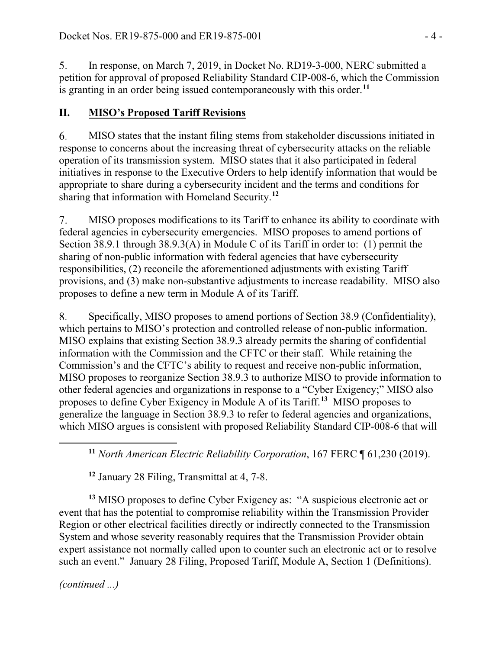$5<sub>1</sub>$ In response, on March 7, 2019, in Docket No. RD19-3-000, NERC submitted a petition for approval of proposed Reliability Standard CIP-008-6, which the Commission is granting in an order being issued contemporaneously with this order. **[11](#page-3-0)**

# **II. MISO's Proposed Tariff Revisions**

6. MISO states that the instant filing stems from stakeholder discussions initiated in response to concerns about the increasing threat of cybersecurity attacks on the reliable operation of its transmission system. MISO states that it also participated in federal initiatives in response to the Executive Orders to help identify information that would be appropriate to share during a cybersecurity incident and the terms and conditions for sharing that information with Homeland Security.**[12](#page-3-1)**

MISO proposes modifications to its Tariff to enhance its ability to coordinate with 7. federal agencies in cybersecurity emergencies. MISO proposes to amend portions of Section 38.9.1 through 38.9.3(A) in Module C of its Tariff in order to: (1) permit the sharing of non-public information with federal agencies that have cybersecurity responsibilities, (2) reconcile the aforementioned adjustments with existing Tariff provisions, and (3) make non-substantive adjustments to increase readability. MISO also proposes to define a new term in Module A of its Tariff.

8. Specifically, MISO proposes to amend portions of Section 38.9 (Confidentiality), which pertains to MISO's protection and controlled release of non-public information. MISO explains that existing Section 38.9.3 already permits the sharing of confidential information with the Commission and the CFTC or their staff. While retaining the Commission's and the CFTC's ability to request and receive non-public information, MISO proposes to reorganize Section 38.9.3 to authorize MISO to provide information to other federal agencies and organizations in response to a "Cyber Exigency;" MISO also proposes to define Cyber Exigency in Module A of its Tariff.**[13](#page-3-2)** MISO proposes to generalize the language in Section 38.9.3 to refer to federal agencies and organizations, which MISO argues is consistent with proposed Reliability Standard CIP-008-6 that will

**<sup>11</sup>** *North American Electric Reliability Corporation*, 167 FERC ¶ 61,230 (2019).

**<sup>12</sup>** January 28 Filing, Transmittal at 4, 7-8.

<span id="page-3-2"></span><span id="page-3-1"></span>**<sup>13</sup>** MISO proposes to define Cyber Exigency as: "A suspicious electronic act or event that has the potential to compromise reliability within the Transmission Provider Region or other electrical facilities directly or indirectly connected to the Transmission System and whose severity reasonably requires that the Transmission Provider obtain expert assistance not normally called upon to counter such an electronic act or to resolve such an event." January 28 Filing, Proposed Tariff, Module A, Section 1 (Definitions).

*(continued ...)*

<span id="page-3-0"></span>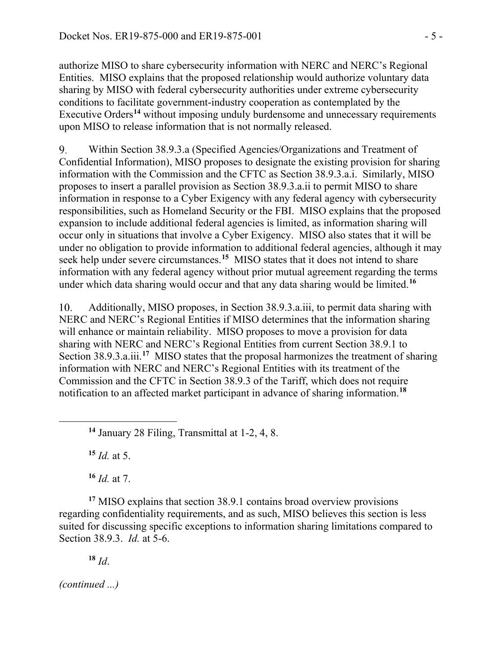authorize MISO to share cybersecurity information with NERC and NERC's Regional Entities. MISO explains that the proposed relationship would authorize voluntary data sharing by MISO with federal cybersecurity authorities under extreme cybersecurity conditions to facilitate government-industry cooperation as contemplated by the Executive Orders**[14](#page-4-0)** without imposing unduly burdensome and unnecessary requirements upon MISO to release information that is not normally released.

Within Section 38.9.3.a (Specified Agencies/Organizations and Treatment of 9. Confidential Information), MISO proposes to designate the existing provision for sharing information with the Commission and the CFTC as Section 38.9.3.a.i. Similarly, MISO proposes to insert a parallel provision as Section 38.9.3.a.ii to permit MISO to share information in response to a Cyber Exigency with any federal agency with cybersecurity responsibilities, such as Homeland Security or the FBI. MISO explains that the proposed expansion to include additional federal agencies is limited, as information sharing will occur only in situations that involve a Cyber Exigency. MISO also states that it will be under no obligation to provide information to additional federal agencies, although it may seek help under severe circumstances.<sup>[15](#page-4-1)</sup> MISO states that it does not intend to share information with any federal agency without prior mutual agreement regarding the terms under which data sharing would occur and that any data sharing would be limited.**[16](#page-4-2)**

10. Additionally, MISO proposes, in Section 38.9.3.a.iii, to permit data sharing with NERC and NERC's Regional Entities if MISO determines that the information sharing will enhance or maintain reliability. MISO proposes to move a provision for data sharing with NERC and NERC's Regional Entities from current Section 38.9.1 to Section 38.9.3.a.iii.<sup>[17](#page-4-3)</sup> MISO states that the proposal harmonizes the treatment of sharing information with NERC and NERC's Regional Entities with its treatment of the Commission and the CFTC in Section 38.9.3 of the Tariff, which does not require notification to an affected market participant in advance of sharing information.**[18](#page-4-4)**

**<sup>14</sup>** January 28 Filing, Transmittal at 1-2, 4, 8.

**<sup>15</sup>** *Id.* at 5.

<span id="page-4-1"></span><span id="page-4-0"></span> $\overline{a}$ 

**<sup>16</sup>** *Id.* at 7.

<span id="page-4-4"></span><span id="page-4-3"></span><span id="page-4-2"></span>**<sup>17</sup>** MISO explains that section 38.9.1 contains broad overview provisions regarding confidentiality requirements, and as such, MISO believes this section is less suited for discussing specific exceptions to information sharing limitations compared to Section 38.9.3. *Id.* at 5-6.

**<sup>18</sup>** *Id*.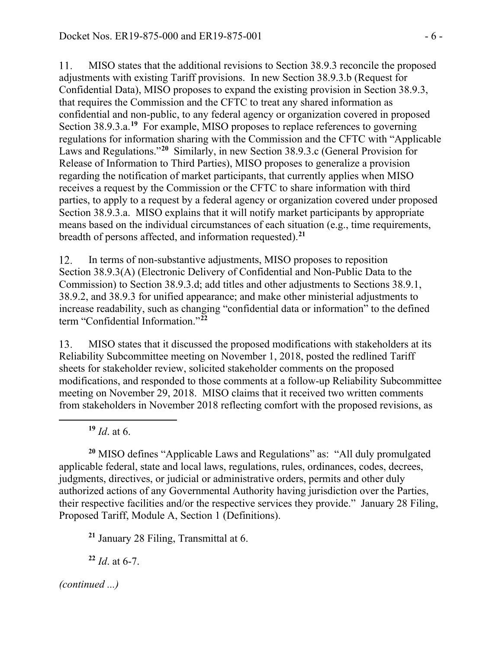11. MISO states that the additional revisions to Section 38.9.3 reconcile the proposed adjustments with existing Tariff provisions. In new Section 38.9.3.b (Request for Confidential Data), MISO proposes to expand the existing provision in Section 38.9.3, that requires the Commission and the CFTC to treat any shared information as confidential and non-public, to any federal agency or organization covered in proposed Section 38.9.3.a.<sup>[19](#page-5-0)</sup> For example, MISO proposes to replace references to governing regulations for information sharing with the Commission and the CFTC with "Applicable Laws and Regulations."**[20](#page-5-1)** Similarly, in new Section 38.9.3.c (General Provision for Release of Information to Third Parties), MISO proposes to generalize a provision regarding the notification of market participants, that currently applies when MISO receives a request by the Commission or the CFTC to share information with third parties, to apply to a request by a federal agency or organization covered under proposed Section 38.9.3.a. MISO explains that it will notify market participants by appropriate means based on the individual circumstances of each situation (e.g., time requirements, breadth of persons affected, and information requested).**[21](#page-5-2)**

In terms of non-substantive adjustments, MISO proposes to reposition 12. Section 38.9.3(A) (Electronic Delivery of Confidential and Non-Public Data to the Commission) to Section 38.9.3.d; add titles and other adjustments to Sections 38.9.1, 38.9.2, and 38.9.3 for unified appearance; and make other ministerial adjustments to increase readability, such as changing "confidential data or information" to the defined term "Confidential Information."**[22](#page-5-3)**

13. MISO states that it discussed the proposed modifications with stakeholders at its Reliability Subcommittee meeting on November 1, 2018, posted the redlined Tariff sheets for stakeholder review, solicited stakeholder comments on the proposed modifications, and responded to those comments at a follow-up Reliability Subcommittee meeting on November 29, 2018. MISO claims that it received two written comments from stakeholders in November 2018 reflecting comfort with the proposed revisions, as

**<sup>19</sup>** *Id*. at 6.

<span id="page-5-0"></span> $\overline{a}$ 

<span id="page-5-1"></span>**<sup>20</sup>** MISO defines "Applicable Laws and Regulations" as: "All duly promulgated applicable federal, state and local laws, regulations, rules, ordinances, codes, decrees, judgments, directives, or judicial or administrative orders, permits and other duly authorized actions of any Governmental Authority having jurisdiction over the Parties, their respective facilities and/or the respective services they provide." January 28 Filing, Proposed Tariff, Module A, Section 1 (Definitions).

<span id="page-5-2"></span>**<sup>21</sup>** January 28 Filing, Transmittal at 6.

<span id="page-5-3"></span>**<sup>22</sup>** *Id*. at 6-7.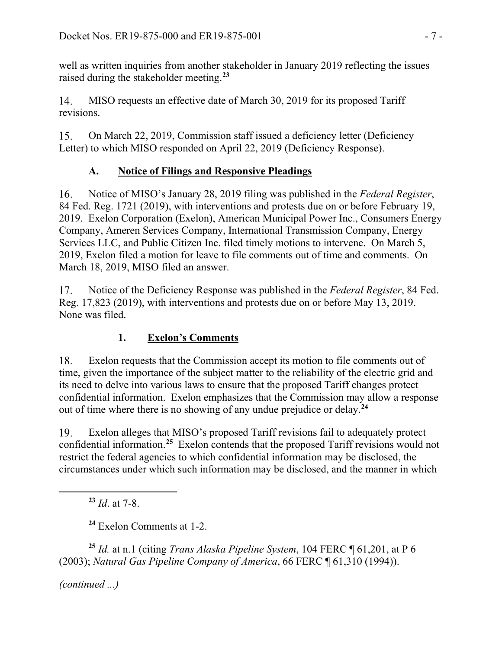well as written inquiries from another stakeholder in January 2019 reflecting the issues raised during the stakeholder meeting.**[23](#page-6-0)**

MISO requests an effective date of March 30, 2019 for its proposed Tariff 14. revisions.

15. On March 22, 2019, Commission staff issued a deficiency letter (Deficiency Letter) to which MISO responded on April 22, 2019 (Deficiency Response).

## **A. Notice of Filings and Responsive Pleadings**

16. Notice of MISO's January 28, 2019 filing was published in the *Federal Register*, 84 Fed. Reg. 1721 (2019), with interventions and protests due on or before February 19, 2019. Exelon Corporation (Exelon), American Municipal Power Inc., Consumers Energy Company, Ameren Services Company, International Transmission Company, Energy Services LLC, and Public Citizen Inc. filed timely motions to intervene. On March 5, 2019, Exelon filed a motion for leave to file comments out of time and comments. On March 18, 2019, MISO filed an answer.

Notice of the Deficiency Response was published in the *Federal Register*, 84 Fed. 17. Reg. 17,823 (2019), with interventions and protests due on or before May 13, 2019. None was filed.

# **1. Exelon's Comments**

18. Exelon requests that the Commission accept its motion to file comments out of time, given the importance of the subject matter to the reliability of the electric grid and its need to delve into various laws to ensure that the proposed Tariff changes protect confidential information. Exelon emphasizes that the Commission may allow a response out of time where there is no showing of any undue prejudice or delay.**[24](#page-6-1)**

Exelon alleges that MISO's proposed Tariff revisions fail to adequately protect 19. confidential information.**[25](#page-6-2)** Exelon contends that the proposed Tariff revisions would not restrict the federal agencies to which confidential information may be disclosed, the circumstances under which such information may be disclosed, and the manner in which

**<sup>23</sup>** *Id*. at 7-8.

**<sup>24</sup>** Exelon Comments at 1-2.

<span id="page-6-2"></span><span id="page-6-1"></span>**<sup>25</sup>** *Id.* at n.1 (citing *Trans Alaska Pipeline System*, 104 FERC ¶ 61,201, at P 6 (2003); *Natural Gas Pipeline Company of America*, 66 FERC ¶ 61,310 (1994)).

*(continued ...)*

<span id="page-6-0"></span> $\overline{a}$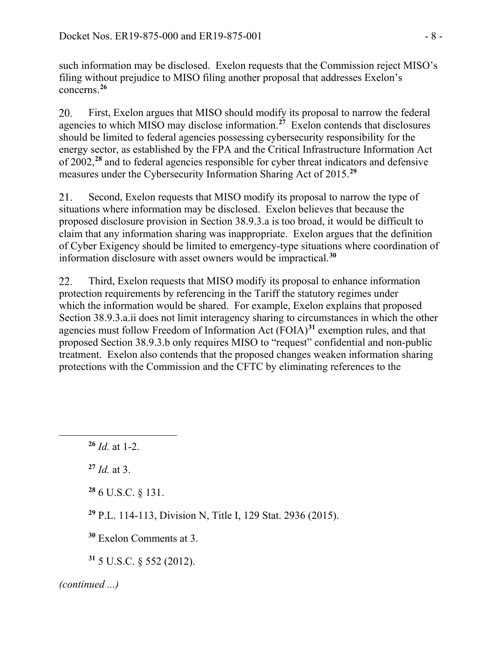such information may be disclosed. Exelon requests that the Commission reject MISO's filing without prejudice to MISO filing another proposal that addresses Exelon's concerns.**[26](#page-7-0)**

20. First, Exelon argues that MISO should modify its proposal to narrow the federal agencies to which MISO may disclose information.**[27](#page-7-1)** Exelon contends that disclosures should be limited to federal agencies possessing cybersecurity responsibility for the energy sector, as established by the FPA and the Critical Infrastructure Information Act of 2002, **[28](#page-7-2)** and to federal agencies responsible for cyber threat indicators and defensive measures under the Cybersecurity Information Sharing Act of 2015.**[29](#page-7-3)**

Second, Exelon requests that MISO modify its proposal to narrow the type of 21. situations where information may be disclosed. Exelon believes that because the proposed disclosure provision in Section 38.9.3.a is too broad, it would be difficult to claim that any information sharing was inappropriate. Exelon argues that the definition of Cyber Exigency should be limited to emergency-type situations where coordination of information disclosure with asset owners would be impractical.**[30](#page-7-4)**

22. Third, Exelon requests that MISO modify its proposal to enhance information protection requirements by referencing in the Tariff the statutory regimes under which the information would be shared. For example, Exelon explains that proposed Section 38.9.3.a.ii does not limit interagency sharing to circumstances in which the other agencies must follow Freedom of Information Act (FOIA)**[31](#page-7-5)** exemption rules, and that proposed Section 38.9.3.b only requires MISO to "request" confidential and non-public treatment. Exelon also contends that the proposed changes weaken information sharing protections with the Commission and the CFTC by eliminating references to the

**<sup>27</sup>** *Id.* at 3.

<span id="page-7-2"></span><span id="page-7-1"></span><span id="page-7-0"></span> $\overline{a}$ 

**<sup>28</sup>** 6 U.S.C. § 131.

<span id="page-7-3"></span>**<sup>29</sup>** P.L. 114-113, Division N, Title I, 129 Stat. 2936 (2015).

<span id="page-7-4"></span>**<sup>30</sup>** Exelon Comments at 3.

<span id="page-7-5"></span>**<sup>31</sup>** 5 U.S.C. § 552 (2012).

**<sup>26</sup>** *Id.* at 1-2.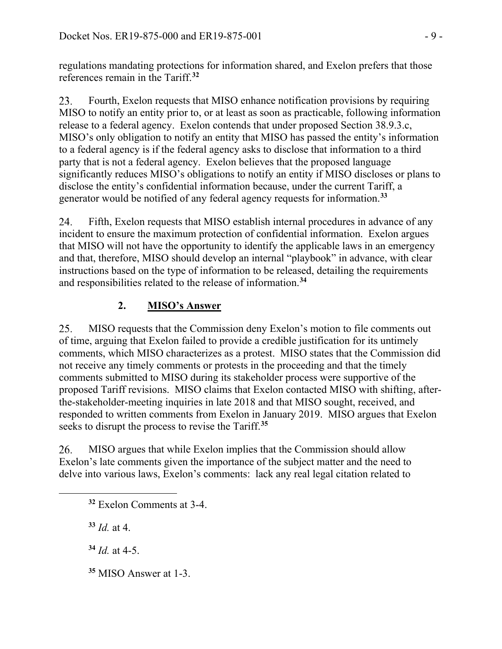regulations mandating protections for information shared, and Exelon prefers that those references remain in the Tariff.**[32](#page-8-0)**

Fourth, Exelon requests that MISO enhance notification provisions by requiring 23. MISO to notify an entity prior to, or at least as soon as practicable, following information release to a federal agency. Exelon contends that under proposed Section 38.9.3.c, MISO's only obligation to notify an entity that MISO has passed the entity's information to a federal agency is if the federal agency asks to disclose that information to a third party that is not a federal agency. Exelon believes that the proposed language significantly reduces MISO's obligations to notify an entity if MISO discloses or plans to disclose the entity's confidential information because, under the current Tariff, a generator would be notified of any federal agency requests for information.**[33](#page-8-1)**

Fifth, Exelon requests that MISO establish internal procedures in advance of any 24. incident to ensure the maximum protection of confidential information. Exelon argues that MISO will not have the opportunity to identify the applicable laws in an emergency and that, therefore, MISO should develop an internal "playbook" in advance, with clear instructions based on the type of information to be released, detailing the requirements and responsibilities related to the release of information.**[34](#page-8-2)**

# **2. MISO's Answer**

25. MISO requests that the Commission deny Exelon's motion to file comments out of time, arguing that Exelon failed to provide a credible justification for its untimely comments, which MISO characterizes as a protest. MISO states that the Commission did not receive any timely comments or protests in the proceeding and that the timely comments submitted to MISO during its stakeholder process were supportive of the proposed Tariff revisions. MISO claims that Exelon contacted MISO with shifting, afterthe-stakeholder-meeting inquiries in late 2018 and that MISO sought, received, and responded to written comments from Exelon in January 2019. MISO argues that Exelon seeks to disrupt the process to revise the Tariff.**[35](#page-8-3)**

26. MISO argues that while Exelon implies that the Commission should allow Exelon's late comments given the importance of the subject matter and the need to delve into various laws, Exelon's comments: lack any real legal citation related to

**<sup>33</sup>** *Id.* at 4.

<span id="page-8-2"></span><span id="page-8-1"></span><span id="page-8-0"></span> $\overline{a}$ 

**<sup>34</sup>** *Id.* at 4-5.

<span id="page-8-3"></span>**<sup>35</sup>** MISO Answer at 1-3.

**<sup>32</sup>** Exelon Comments at 3-4.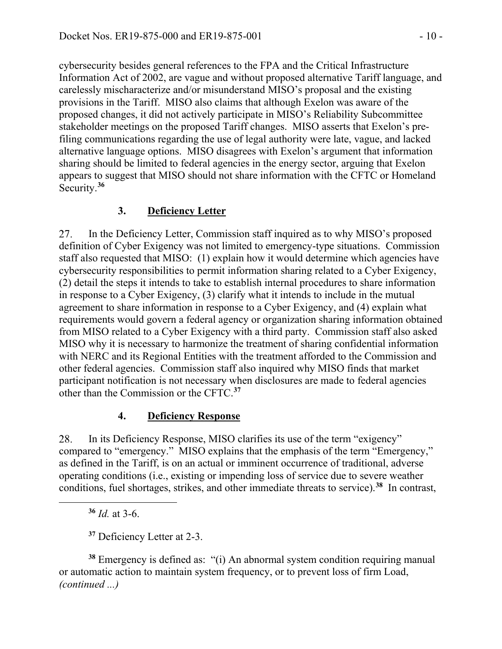cybersecurity besides general references to the FPA and the Critical Infrastructure Information Act of 2002, are vague and without proposed alternative Tariff language, and carelessly mischaracterize and/or misunderstand MISO's proposal and the existing provisions in the Tariff. MISO also claims that although Exelon was aware of the proposed changes, it did not actively participate in MISO's Reliability Subcommittee stakeholder meetings on the proposed Tariff changes. MISO asserts that Exelon's prefiling communications regarding the use of legal authority were late, vague, and lacked alternative language options. MISO disagrees with Exelon's argument that information sharing should be limited to federal agencies in the energy sector, arguing that Exelon appears to suggest that MISO should not share information with the CFTC or Homeland Security.**[36](#page-9-0)**

## **3. Deficiency Letter**

27. In the Deficiency Letter, Commission staff inquired as to why MISO's proposed definition of Cyber Exigency was not limited to emergency-type situations. Commission staff also requested that MISO: (1) explain how it would determine which agencies have cybersecurity responsibilities to permit information sharing related to a Cyber Exigency, (2) detail the steps it intends to take to establish internal procedures to share information in response to a Cyber Exigency, (3) clarify what it intends to include in the mutual agreement to share information in response to a Cyber Exigency, and (4) explain what requirements would govern a federal agency or organization sharing information obtained from MISO related to a Cyber Exigency with a third party. Commission staff also asked MISO why it is necessary to harmonize the treatment of sharing confidential information with NERC and its Regional Entities with the treatment afforded to the Commission and other federal agencies. Commission staff also inquired why MISO finds that market participant notification is not necessary when disclosures are made to federal agencies other than the Commission or the CFTC.**[37](#page-9-1)**

### **4. Deficiency Response**

28. In its Deficiency Response, MISO clarifies its use of the term "exigency" compared to "emergency." MISO explains that the emphasis of the term "Emergency," as defined in the Tariff, is on an actual or imminent occurrence of traditional, adverse operating conditions (i.e., existing or impending loss of service due to severe weather conditions, fuel shortages, strikes, and other immediate threats to service).**[38](#page-9-2)** In contrast,

**<sup>36</sup>** *Id.* at 3-6.

<span id="page-9-0"></span> $\overline{a}$ 

**<sup>37</sup>** Deficiency Letter at 2-3.

<span id="page-9-2"></span><span id="page-9-1"></span>**<sup>38</sup>** Emergency is defined as: "(i) An abnormal system condition requiring manual or automatic action to maintain system frequency, or to prevent loss of firm Load, *(continued ...)*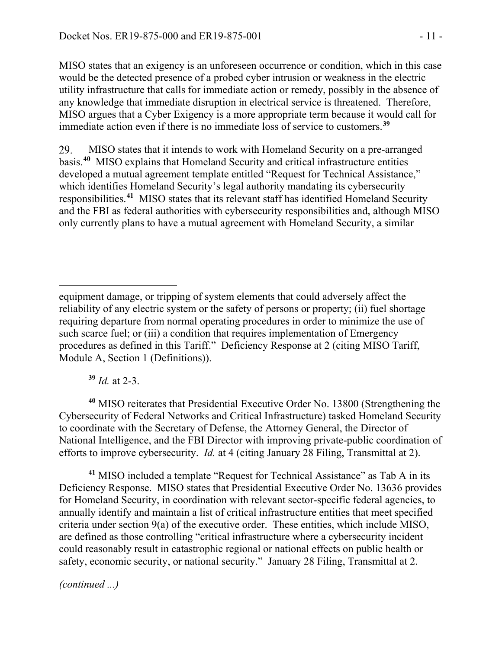MISO states that an exigency is an unforeseen occurrence or condition, which in this case would be the detected presence of a probed cyber intrusion or weakness in the electric utility infrastructure that calls for immediate action or remedy, possibly in the absence of any knowledge that immediate disruption in electrical service is threatened. Therefore, MISO argues that a Cyber Exigency is a more appropriate term because it would call for immediate action even if there is no immediate loss of service to customers.**[39](#page-10-0)**

29. MISO states that it intends to work with Homeland Security on a pre-arranged basis.**[40](#page-10-1)** MISO explains that Homeland Security and critical infrastructure entities developed a mutual agreement template entitled "Request for Technical Assistance," which identifies Homeland Security's legal authority mandating its cybersecurity responsibilities.**[41](#page-10-2)** MISO states that its relevant staff has identified Homeland Security and the FBI as federal authorities with cybersecurity responsibilities and, although MISO only currently plans to have a mutual agreement with Homeland Security, a similar

**<sup>39</sup>** *Id.* at 2-3.

<span id="page-10-1"></span><span id="page-10-0"></span>**<sup>40</sup>** MISO reiterates that Presidential Executive Order No. 13800 (Strengthening the Cybersecurity of Federal Networks and Critical Infrastructure) tasked Homeland Security to coordinate with the Secretary of Defense, the Attorney General, the Director of National Intelligence, and the FBI Director with improving private-public coordination of efforts to improve cybersecurity. *Id.* at 4 (citing January 28 Filing, Transmittal at 2).

<span id="page-10-2"></span>**<sup>41</sup>** MISO included a template "Request for Technical Assistance" as Tab A in its Deficiency Response. MISO states that Presidential Executive Order No. 13636 provides for Homeland Security, in coordination with relevant sector-specific federal agencies, to annually identify and maintain a list of critical infrastructure entities that meet specified criteria under section 9(a) of the executive order. These entities, which include MISO, are defined as those controlling "critical infrastructure where a cybersecurity incident could reasonably result in catastrophic regional or national effects on public health or safety, economic security, or national security." January 28 Filing, Transmittal at 2.

equipment damage, or tripping of system elements that could adversely affect the reliability of any electric system or the safety of persons or property; (ii) fuel shortage requiring departure from normal operating procedures in order to minimize the use of such scarce fuel; or (iii) a condition that requires implementation of Emergency procedures as defined in this Tariff." Deficiency Response at 2 (citing MISO Tariff, Module A, Section 1 (Definitions)).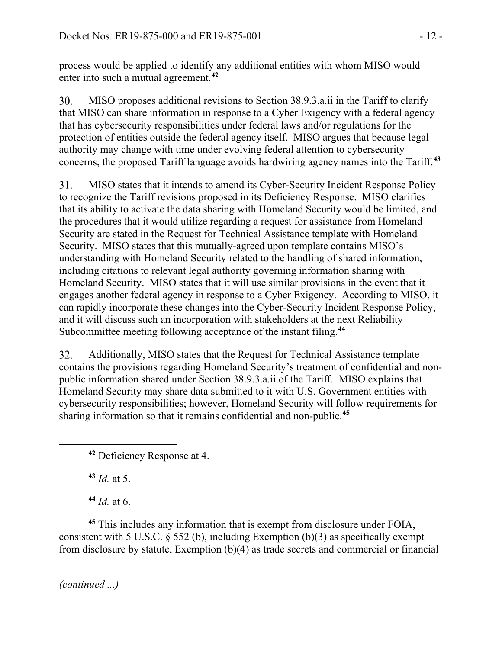process would be applied to identify any additional entities with whom MISO would enter into such a mutual agreement.**[42](#page-11-0)**

MISO proposes additional revisions to Section 38.9.3.a.ii in the Tariff to clarify 30. that MISO can share information in response to a Cyber Exigency with a federal agency that has cybersecurity responsibilities under federal laws and/or regulations for the protection of entities outside the federal agency itself. MISO argues that because legal authority may change with time under evolving federal attention to cybersecurity concerns, the proposed Tariff language avoids hardwiring agency names into the Tariff.**[43](#page-11-1)**

31. MISO states that it intends to amend its Cyber-Security Incident Response Policy to recognize the Tariff revisions proposed in its Deficiency Response. MISO clarifies that its ability to activate the data sharing with Homeland Security would be limited, and the procedures that it would utilize regarding a request for assistance from Homeland Security are stated in the Request for Technical Assistance template with Homeland Security. MISO states that this mutually-agreed upon template contains MISO's understanding with Homeland Security related to the handling of shared information, including citations to relevant legal authority governing information sharing with Homeland Security. MISO states that it will use similar provisions in the event that it engages another federal agency in response to a Cyber Exigency. According to MISO, it can rapidly incorporate these changes into the Cyber-Security Incident Response Policy, and it will discuss such an incorporation with stakeholders at the next Reliability Subcommittee meeting following acceptance of the instant filing.**[44](#page-11-2)**

32. Additionally, MISO states that the Request for Technical Assistance template contains the provisions regarding Homeland Security's treatment of confidential and nonpublic information shared under Section 38.9.3.a.ii of the Tariff. MISO explains that Homeland Security may share data submitted to it with U.S. Government entities with cybersecurity responsibilities; however, Homeland Security will follow requirements for sharing information so that it remains confidential and non-public.**[45](#page-11-3)**

**<sup>43</sup>** *Id.* at 5.

<span id="page-11-1"></span><span id="page-11-0"></span> $\overline{a}$ 

**<sup>44</sup>** *Id.* at 6.

<span id="page-11-3"></span><span id="page-11-2"></span>**<sup>45</sup>** This includes any information that is exempt from disclosure under FOIA, consistent with 5 U.S.C.  $\delta$  552 (b), including Exemption (b)(3) as specifically exempt from disclosure by statute, Exemption (b)(4) as trade secrets and commercial or financial

**<sup>42</sup>** Deficiency Response at 4.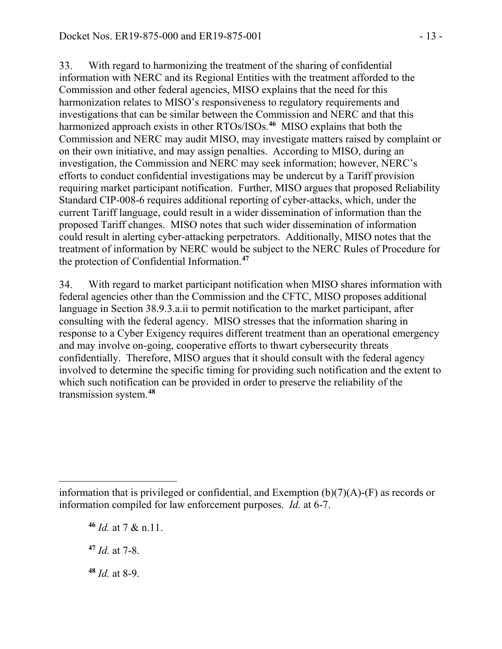33. With regard to harmonizing the treatment of the sharing of confidential information with NERC and its Regional Entities with the treatment afforded to the Commission and other federal agencies, MISO explains that the need for this harmonization relates to MISO's responsiveness to regulatory requirements and investigations that can be similar between the Commission and NERC and that this harmonized approach exists in other RTOs/ISOs.**[46](#page-12-0)** MISO explains that both the Commission and NERC may audit MISO, may investigate matters raised by complaint or on their own initiative, and may assign penalties. According to MISO, during an investigation, the Commission and NERC may seek information; however, NERC's efforts to conduct confidential investigations may be undercut by a Tariff provision requiring market participant notification. Further, MISO argues that proposed Reliability Standard CIP-008-6 requires additional reporting of cyber-attacks, which, under the current Tariff language, could result in a wider dissemination of information than the proposed Tariff changes. MISO notes that such wider dissemination of information could result in alerting cyber-attacking perpetrators. Additionally, MISO notes that the treatment of information by NERC would be subject to the NERC Rules of Procedure for the protection of Confidential Information.**[47](#page-12-1)**

34. With regard to market participant notification when MISO shares information with federal agencies other than the Commission and the CFTC, MISO proposes additional language in Section 38.9.3.a.ii to permit notification to the market participant, after consulting with the federal agency. MISO stresses that the information sharing in response to a Cyber Exigency requires different treatment than an operational emergency and may involve on-going, cooperative efforts to thwart cybersecurity threats confidentially. Therefore, MISO argues that it should consult with the federal agency involved to determine the specific timing for providing such notification and the extent to which such notification can be provided in order to preserve the reliability of the transmission system.**[48](#page-12-2)**

**<sup>46</sup>** *Id.* at 7 & n.11. **<sup>47</sup>** *Id.* at 7-8. **<sup>48</sup>** *Id.* at 8-9.

 $\overline{a}$ 

<span id="page-12-2"></span><span id="page-12-1"></span><span id="page-12-0"></span>information that is privileged or confidential, and Exemption  $(b)(7)(A)-(F)$  as records or information compiled for law enforcement purposes. *Id.* at 6-7.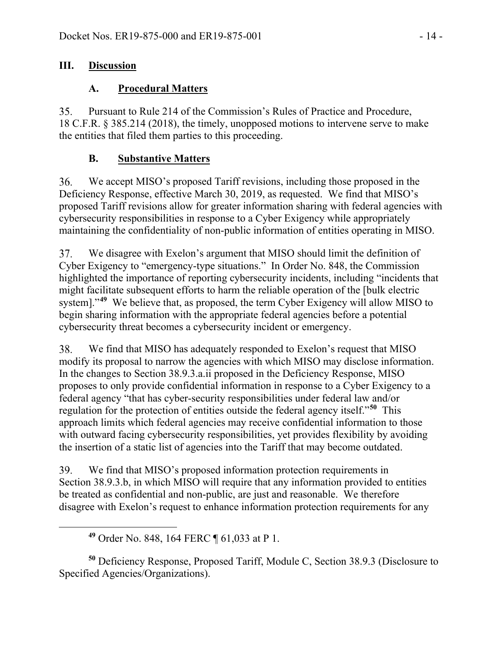### **III. Discussion**

## **A. Procedural Matters**

35. Pursuant to Rule 214 of the Commission's Rules of Practice and Procedure, 18 C.F.R. § 385.214 (2018), the timely, unopposed motions to intervene serve to make the entities that filed them parties to this proceeding.

## **B. Substantive Matters**

36. We accept MISO's proposed Tariff revisions, including those proposed in the Deficiency Response, effective March 30, 2019, as requested. We find that MISO's proposed Tariff revisions allow for greater information sharing with federal agencies with cybersecurity responsibilities in response to a Cyber Exigency while appropriately maintaining the confidentiality of non-public information of entities operating in MISO.

We disagree with Exelon's argument that MISO should limit the definition of 37. Cyber Exigency to "emergency-type situations." In Order No. 848, the Commission highlighted the importance of reporting cybersecurity incidents, including "incidents that might facilitate subsequent efforts to harm the reliable operation of the [bulk electric system]."<sup>[49](#page-13-0)</sup> We believe that, as proposed, the term Cyber Exigency will allow MISO to begin sharing information with the appropriate federal agencies before a potential cybersecurity threat becomes a cybersecurity incident or emergency.

38. We find that MISO has adequately responded to Exelon's request that MISO modify its proposal to narrow the agencies with which MISO may disclose information. In the changes to Section 38.9.3.a.ii proposed in the Deficiency Response, MISO proposes to only provide confidential information in response to a Cyber Exigency to a federal agency "that has cyber-security responsibilities under federal law and/or regulation for the protection of entities outside the federal agency itself."**[50](#page-13-1)** This approach limits which federal agencies may receive confidential information to those with outward facing cybersecurity responsibilities, yet provides flexibility by avoiding the insertion of a static list of agencies into the Tariff that may become outdated.

39. We find that MISO's proposed information protection requirements in Section 38.9.3.b, in which MISO will require that any information provided to entities be treated as confidential and non-public, are just and reasonable. We therefore disagree with Exelon's request to enhance information protection requirements for any

**<sup>49</sup>** Order No. 848, 164 FERC ¶ 61,033 at P 1.

<span id="page-13-0"></span> $\overline{a}$ 

<span id="page-13-1"></span>**<sup>50</sup>** Deficiency Response, Proposed Tariff, Module C, Section 38.9.3 (Disclosure to Specified Agencies/Organizations).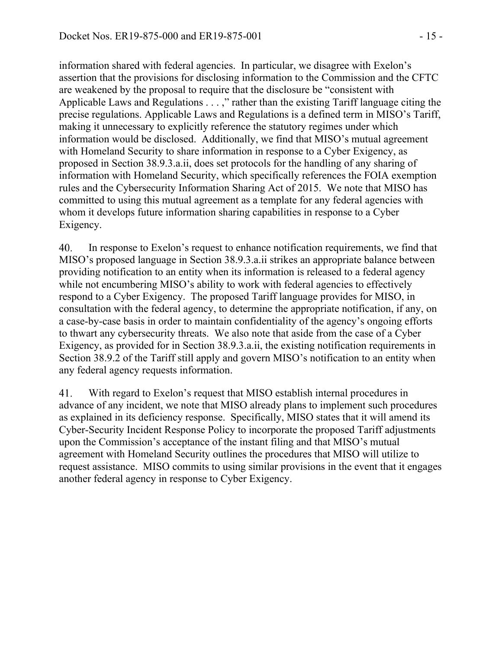information shared with federal agencies. In particular, we disagree with Exelon's assertion that the provisions for disclosing information to the Commission and the CFTC are weakened by the proposal to require that the disclosure be "consistent with Applicable Laws and Regulations . . . ," rather than the existing Tariff language citing the precise regulations. Applicable Laws and Regulations is a defined term in MISO's Tariff, making it unnecessary to explicitly reference the statutory regimes under which information would be disclosed. Additionally, we find that MISO's mutual agreement with Homeland Security to share information in response to a Cyber Exigency, as proposed in Section 38.9.3.a.ii, does set protocols for the handling of any sharing of information with Homeland Security, which specifically references the FOIA exemption rules and the Cybersecurity Information Sharing Act of 2015. We note that MISO has committed to using this mutual agreement as a template for any federal agencies with whom it develops future information sharing capabilities in response to a Cyber Exigency.

40. In response to Exelon's request to enhance notification requirements, we find that MISO's proposed language in Section 38.9.3.a.ii strikes an appropriate balance between providing notification to an entity when its information is released to a federal agency while not encumbering MISO's ability to work with federal agencies to effectively respond to a Cyber Exigency. The proposed Tariff language provides for MISO, in consultation with the federal agency, to determine the appropriate notification, if any, on a case-by-case basis in order to maintain confidentiality of the agency's ongoing efforts to thwart any cybersecurity threats. We also note that aside from the case of a Cyber Exigency, as provided for in Section 38.9.3.a.ii, the existing notification requirements in Section 38.9.2 of the Tariff still apply and govern MISO's notification to an entity when any federal agency requests information.

41. With regard to Exelon's request that MISO establish internal procedures in advance of any incident, we note that MISO already plans to implement such procedures as explained in its deficiency response. Specifically, MISO states that it will amend its Cyber-Security Incident Response Policy to incorporate the proposed Tariff adjustments upon the Commission's acceptance of the instant filing and that MISO's mutual agreement with Homeland Security outlines the procedures that MISO will utilize to request assistance. MISO commits to using similar provisions in the event that it engages another federal agency in response to Cyber Exigency.